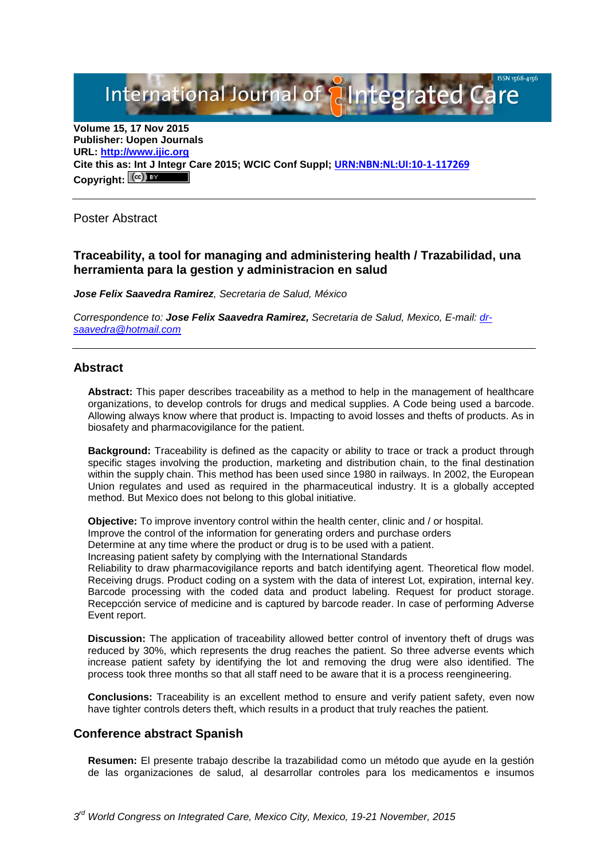International Journal of **Plantegrated Care** 

**Volume 15, 17 Nov 2015 Publisher: Uopen Journals URL: [http://www.ijic.org](http://www.ijic.org/) Cite this as: Int J Integr Care 2015; WCIC Conf Suppl; [URN:NBN:NL:UI:10-1-117269](http://persistent-identifier.nl/?identifier=URN:NBN:NL:UI:10-1-117269) Copyright:**

Poster Abstract

# **Traceability, a tool for managing and administering health / Trazabilidad, una herramienta para la gestion y administracion en salud**

*Jose Felix Saavedra Ramirez, Secretaria de Salud, México*

*Correspondence to: Jose Felix Saavedra Ramirez, Secretaria de Salud, Mexico, E-mail: [dr](mailto:dr-saavedra@hotmail.com)[saavedra@hotmail.com](mailto:dr-saavedra@hotmail.com)*

## **Abstract**

**Abstract:** This paper describes traceability as a method to help in the management of healthcare organizations, to develop controls for drugs and medical supplies. A Code being used a barcode. Allowing always know where that product is. Impacting to avoid losses and thefts of products. As in biosafety and pharmacovigilance for the patient.

**Background:** Traceability is defined as the capacity or ability to trace or track a product through specific stages involving the production, marketing and distribution chain, to the final destination within the supply chain. This method has been used since 1980 in railways. In 2002, the European Union regulates and used as required in the pharmaceutical industry. It is a globally accepted method. But Mexico does not belong to this global initiative.

**Objective:** To improve inventory control within the health center, clinic and / or hospital.

Improve the control of the information for generating orders and purchase orders

Determine at any time where the product or drug is to be used with a patient.

Increasing patient safety by complying with the International Standards

Reliability to draw pharmacovigilance reports and batch identifying agent. Theoretical flow model. Receiving drugs. Product coding on a system with the data of interest Lot, expiration, internal key. Barcode processing with the coded data and product labeling. Request for product storage. Recepcción service of medicine and is captured by barcode reader. In case of performing Adverse Event report.

**Discussion:** The application of traceability allowed better control of inventory theft of drugs was reduced by 30%, which represents the drug reaches the patient. So three adverse events which increase patient safety by identifying the lot and removing the drug were also identified. The process took three months so that all staff need to be aware that it is a process reengineering.

**Conclusions:** Traceability is an excellent method to ensure and verify patient safety, even now have tighter controls deters theft, which results in a product that truly reaches the patient.

#### **Conference abstract Spanish**

**Resumen:** El presente trabajo describe la trazabilidad como un método que ayude en la gestión de las organizaciones de salud, al desarrollar controles para los medicamentos e insumos